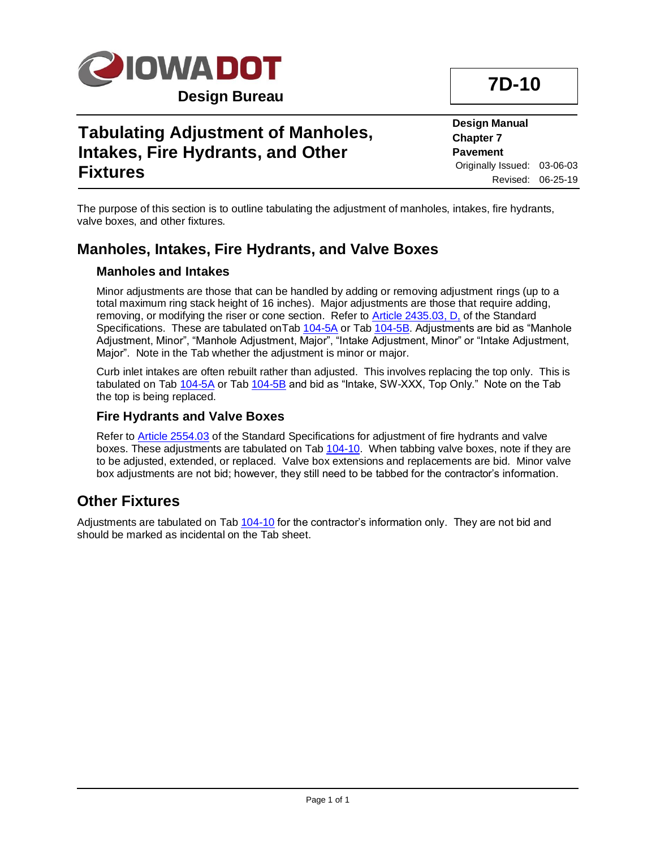

# **Tabulating Adjustment of Manholes, Intakes, Fire Hydrants, and Other Fixtures**

**Design Manual Chapter 7 Pavement** Originally Issued: 03-06-03 Revised: 06-25-19

The purpose of this section is to outline tabulating the adjustment of manholes, intakes, fire hydrants, valve boxes, and other fixtures.

### **Manholes, Intakes, Fire Hydrants, and Valve Boxes**

#### **Manholes and Intakes**

Minor adjustments are those that can be handled by adding or removing adjustment rings (up to a total maximum ring stack height of 16 inches). Major adjustments are those that require adding, removing, or modifying the riser or cone section. Refer to [Article 2435.03, D,](../../erl/current/GS/content/2435.htm) of the Standard Specifications. These are tabulated on Tab [104-5A](../tnt/PDFsandWebFiles/IndividualPDFs/0104-05A.PDF) or Tab [104-5B.](../tnt/PDFsandWebFiles/IndividualPDFs/0104-05B.PDF) Adjustments are bid as "Manhole Adjustment, Minor", "Manhole Adjustment, Major", "Intake Adjustment, Minor" or "Intake Adjustment, Major". Note in the Tab whether the adjustment is minor or major.

Curb inlet intakes are often rebuilt rather than adjusted. This involves replacing the top only. This is tabulated on Tab [104-5A](../tnt/PDFsandWebFiles/IndividualPDFs/0104-05A.PDF) or Tab [104-5B](../tnt/PDFsandWebFiles/IndividualPDFs/0104-05B.PDF) and bid as "Intake, SW-XXX, Top Only." Note on the Tab the top is being replaced.

#### **Fire Hydrants and Valve Boxes**

Refer to [Article 2554.03](../../erl/current/GS/content/2554.htm) of the Standard Specifications for adjustment of fire hydrants and valve boxes. These adjustments are tabulated on Tab [104-10.](../tnt/PDFsandWebFiles/IndividualPDFs/0104-10.PDF) When tabbing valve boxes, note if they are to be adjusted, extended, or replaced. Valve box extensions and replacements are bid. Minor valve box adjustments are not bid; however, they still need to be tabbed for the contractor's information.

### **Other Fixtures**

Adjustments are tabulated on Tab [104-10](../tnt/PDFsandWebFiles/IndividualPDFs/0104-10.PDF) for the contractor's information only. They are not bid and should be marked as incidental on the Tab sheet.